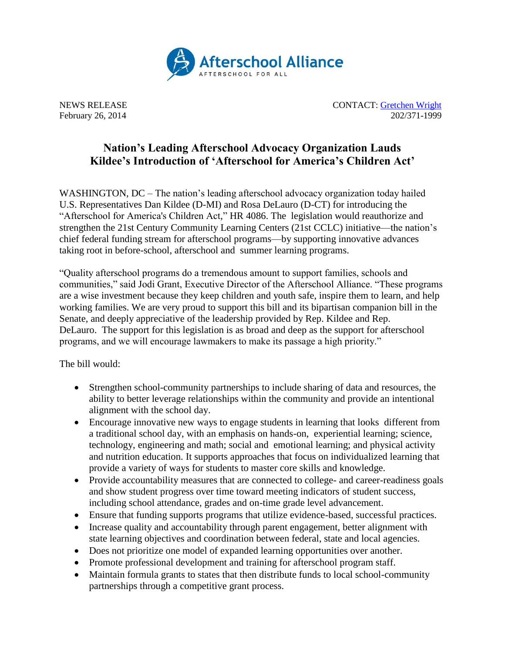

NEWS RELEASE CONTACT: [Gretchen Wright](mailto:gretchen@prsolutionsdc.com) February 26, 2014 202/371-1999

## **Nation's Leading Afterschool Advocacy Organization Lauds Kildee's Introduction of 'Afterschool for America's Children Act'**

WASHINGTON, DC – The nation's leading afterschool advocacy organization today hailed U.S. Representatives Dan Kildee (D-MI) and Rosa DeLauro (D-CT) for introducing the "Afterschool for America's Children Act," HR 4086. The legislation would reauthorize and strengthen the 21st Century Community Learning Centers (21st CCLC) initiative—the nation's chief federal funding stream for afterschool programs—by supporting innovative advances taking root in before-school, afterschool and summer learning programs.

"Quality afterschool programs do a tremendous amount to support families, schools and communities," said Jodi Grant, Executive Director of the Afterschool Alliance. "These programs are a wise investment because they keep children and youth safe, inspire them to learn, and help working families. We are very proud to support this bill and its bipartisan companion bill in the Senate, and deeply appreciative of the leadership provided by Rep. Kildee and Rep. DeLauro. The support for this legislation is as broad and deep as the support for afterschool programs, and we will encourage lawmakers to make its passage a high priority."

The bill would:

- Strengthen school-community partnerships to include sharing of data and resources, the ability to better leverage relationships within the community and provide an intentional alignment with the school day.
- Encourage innovative new ways to engage students in learning that looks different from a traditional school day, with an emphasis on hands-on, experiential learning; science, technology, engineering and math; social and emotional learning; and physical activity and nutrition education. It supports approaches that focus on individualized learning that provide a variety of ways for students to master core skills and knowledge.
- Provide accountability measures that are connected to college- and career-readiness goals and show student progress over time toward meeting indicators of student success, including school attendance, grades and on-time grade level advancement.
- Ensure that funding supports programs that utilize evidence-based, successful practices.
- Increase quality and accountability through parent engagement, better alignment with state learning objectives and coordination between federal, state and local agencies.
- Does not prioritize one model of expanded learning opportunities over another.
- Promote professional development and training for afterschool program staff.
- Maintain formula grants to states that then distribute funds to local school-community partnerships through a competitive grant process.